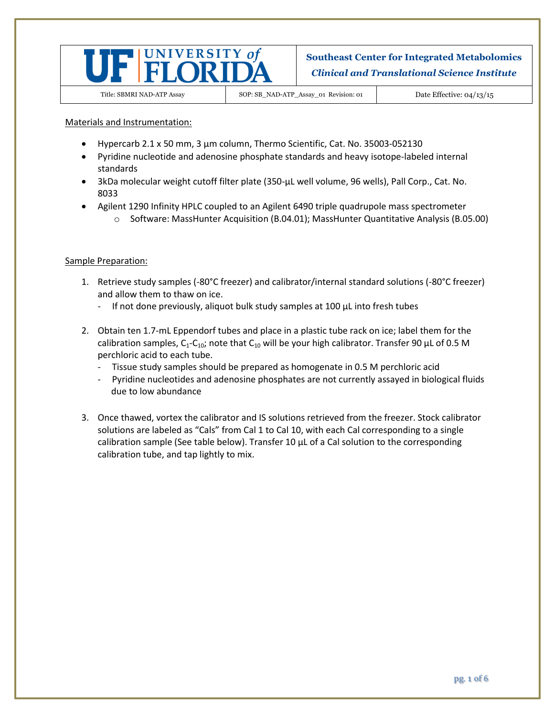

Title: SBMRI NAD-ATP Assay SOP: SB\_NAD-ATP\_Assay\_01 Revision: 01 Date Effective: 04/13/15

Materials and Instrumentation:

- Hypercarb 2.1 x 50 mm, 3 µm column, Thermo Scientific, Cat. No. 35003-052130
- Pyridine nucleotide and adenosine phosphate standards and heavy isotope-labeled internal standards
- 3kDa molecular weight cutoff filter plate (350-µL well volume, 96 wells), Pall Corp., Cat. No. 8033
- Agilent 1290 Infinity HPLC coupled to an Agilent 6490 triple quadrupole mass spectrometer o Software: MassHunter Acquisition (B.04.01); MassHunter Quantitative Analysis (B.05.00)

### Sample Preparation:

- 1. Retrieve study samples (-80°C freezer) and calibrator/internal standard solutions (-80°C freezer) and allow them to thaw on ice.
	- If not done previously, aliquot bulk study samples at 100 μL into fresh tubes
- 2. Obtain ten 1.7-mL Eppendorf tubes and place in a plastic tube rack on ice; label them for the calibration samples,  $C_1-C_{10}$ ; note that  $C_{10}$  will be your high calibrator. Transfer 90 µL of 0.5 M perchloric acid to each tube.
	- Tissue study samples should be prepared as homogenate in 0.5 M perchloric acid
	- Pyridine nucleotides and adenosine phosphates are not currently assayed in biological fluids due to low abundance
- 3. Once thawed, vortex the calibrator and IS solutions retrieved from the freezer. Stock calibrator solutions are labeled as "Cals" from Cal 1 to Cal 10, with each Cal corresponding to a single calibration sample (See table below). Transfer 10 μL of a Cal solution to the corresponding calibration tube, and tap lightly to mix.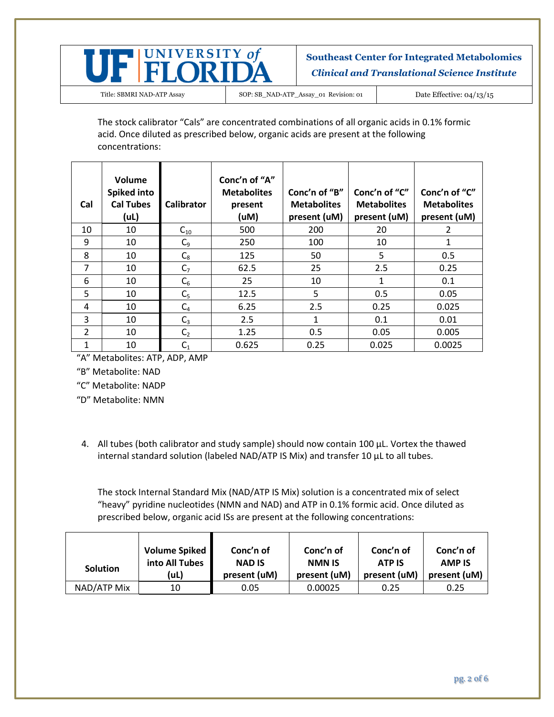

The stock calibrator "Cals" are concentrated combinations of all organic acids in 0.1% formic acid. Once diluted as prescribed below, organic acids are present at the following concentrations:

| Cal            | Volume<br>Spiked into<br><b>Cal Tubes</b><br>(UL) | <b>Calibrator</b> | Conc'n of "A"<br><b>Metabolites</b><br>present<br>(uM) | Conc'n of "B"<br><b>Metabolites</b><br>present (uM) | Conc'n of "C"<br><b>Metabolites</b><br>present (uM) | Conc'n of "C"<br><b>Metabolites</b><br>present (uM) |
|----------------|---------------------------------------------------|-------------------|--------------------------------------------------------|-----------------------------------------------------|-----------------------------------------------------|-----------------------------------------------------|
| 10             | 10                                                | $C_{10}$          | 500                                                    | 200                                                 | 20                                                  | 2                                                   |
| 9              | 10                                                | $C_9$             | 250                                                    | 100                                                 | 10                                                  | 1                                                   |
| 8              | 10                                                | $C_8$             | 125                                                    | 50                                                  | 5                                                   | 0.5                                                 |
| 7              | 10                                                | C <sub>7</sub>    | 62.5                                                   | 25                                                  | 2.5                                                 | 0.25                                                |
| 6              | 10                                                | $C_6$             | 25                                                     | 10                                                  | 1                                                   | 0.1                                                 |
| 5              | 10                                                | C <sub>5</sub>    | 12.5                                                   | 5                                                   | 0.5                                                 | 0.05                                                |
| 4              | 10                                                | $C_4$             | 6.25                                                   | 2.5                                                 | 0.25                                                | 0.025                                               |
| 3              | 10                                                | $C_3$             | 2.5                                                    | 1                                                   | 0.1                                                 | 0.01                                                |
| $\overline{2}$ | 10                                                | C <sub>2</sub>    | 1.25                                                   | 0.5                                                 | 0.05                                                | 0.005                                               |
| 1              | 10                                                | $C_1$             | 0.625                                                  | 0.25                                                | 0.025                                               | 0.0025                                              |

"A" Metabolites: ATP, ADP, AMP

"B" Metabolite: NAD

"C" Metabolite: NADP

"D" Metabolite: NMN

4. All tubes (both calibrator and study sample) should now contain 100 μL. Vortex the thawed internal standard solution (labeled NAD/ATP IS Mix) and transfer 10 μL to all tubes.

The stock Internal Standard Mix (NAD/ATP IS Mix) solution is a concentrated mix of select "heavy" pyridine nucleotides (NMN and NAD) and ATP in 0.1% formic acid. Once diluted as prescribed below, organic acid ISs are present at the following concentrations:

| <b>Solution</b> | Volume Spiked  | Conc'n of     | Conc'n of     | Conc'n of     | Conc'n of     |
|-----------------|----------------|---------------|---------------|---------------|---------------|
|                 | into All Tubes | <b>NAD IS</b> | <b>NMN IS</b> | <b>ATP IS</b> | <b>AMP IS</b> |
|                 | (uL)           | present (uM)  | present (uM)  | present (uM)  | present (uM)  |
| NAD/ATP Mix     | 10             | 0.05          | 0.00025       | 0.25          | 0.25          |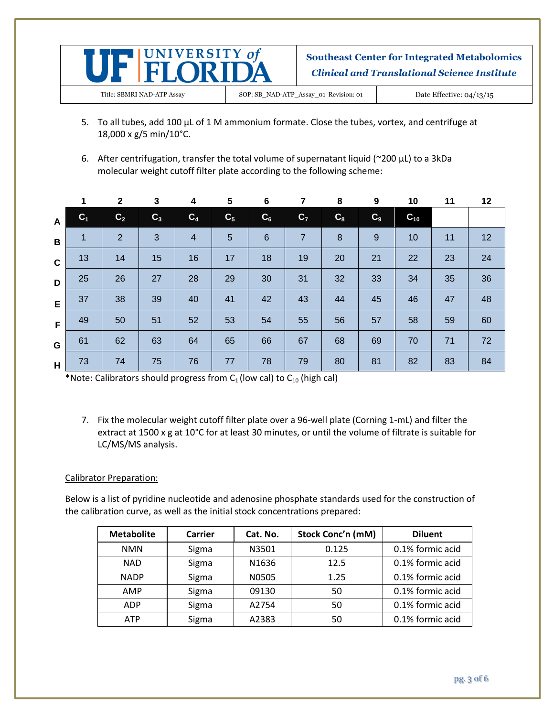

- 5. To all tubes, add 100 μL of 1 M ammonium formate. Close the tubes, vortex, and centrifuge at 18,000 x g/5 min/10°C.
- 6. After centrifugation, transfer the total volume of supernatant liquid (~200 μL) to a 3kDa molecular weight cutoff filter plate according to the following scheme:

|              | 1              | $\mathbf{2}$   | 3              | 4                       | 5              | 6               | 7              | 8                | 9     | 10       | 11 | 12 |
|--------------|----------------|----------------|----------------|-------------------------|----------------|-----------------|----------------|------------------|-------|----------|----|----|
| $\mathsf{A}$ | C <sub>1</sub> | C <sub>2</sub> | C <sub>3</sub> | C <sub>4</sub>          | C <sub>5</sub> | $C_6$           | C <sub>7</sub> | $C_8$            | $C_9$ | $C_{10}$ |    |    |
| B            | 1              | $\overline{2}$ | 3              | $\overline{\mathbf{4}}$ | 5              | $6\phantom{1}6$ | $\overline{7}$ | $\boldsymbol{8}$ | $9\,$ | 10       | 11 | 12 |
| $\mathbf{C}$ | 13             | 14             | 15             | 16                      | 17             | 18              | 19             | 20               | 21    | 22       | 23 | 24 |
| D            | 25             | 26             | 27             | 28                      | 29             | 30              | 31             | 32               | 33    | 34       | 35 | 36 |
| E            | 37             | 38             | 39             | 40                      | 41             | 42              | 43             | 44               | 45    | 46       | 47 | 48 |
| F            | 49             | 50             | 51             | 52                      | 53             | 54              | 55             | 56               | 57    | 58       | 59 | 60 |
| G            | 61             | 62             | 63             | 64                      | 65             | 66              | 67             | 68               | 69    | 70       | 71 | 72 |
| H            | 73             | 74             | 75             | 76                      | 77             | 78              | 79             | 80               | 81    | 82       | 83 | 84 |

\*Note: Calibrators should progress from  $C_1$  (low cal) to  $C_{10}$  (high cal)

7. Fix the molecular weight cutoff filter plate over a 96-well plate (Corning 1-mL) and filter the extract at 1500 x g at 10°C for at least 30 minutes, or until the volume of filtrate is suitable for LC/MS/MS analysis.

## Calibrator Preparation:

Below is a list of pyridine nucleotide and adenosine phosphate standards used for the construction of the calibration curve, as well as the initial stock concentrations prepared:

| <b>Metabolite</b> | Carrier | Cat. No. | Stock Conc'n (mM) | <b>Diluent</b>   |
|-------------------|---------|----------|-------------------|------------------|
| <b>NMN</b>        | Sigma   | N3501    | 0.125             | 0.1% formic acid |
| <b>NAD</b>        | Sigma   | N1636    | 12.5              | 0.1% formic acid |
| <b>NADP</b>       | Sigma   | N0505    | 1.25              | 0.1% formic acid |
| AMP               | Sigma   | 09130    | 50                | 0.1% formic acid |
| <b>ADP</b>        | Sigma   | A2754    | 50                | 0.1% formic acid |
| <b>ATP</b>        | Sigma   | A2383    | 50                | 0.1% formic acid |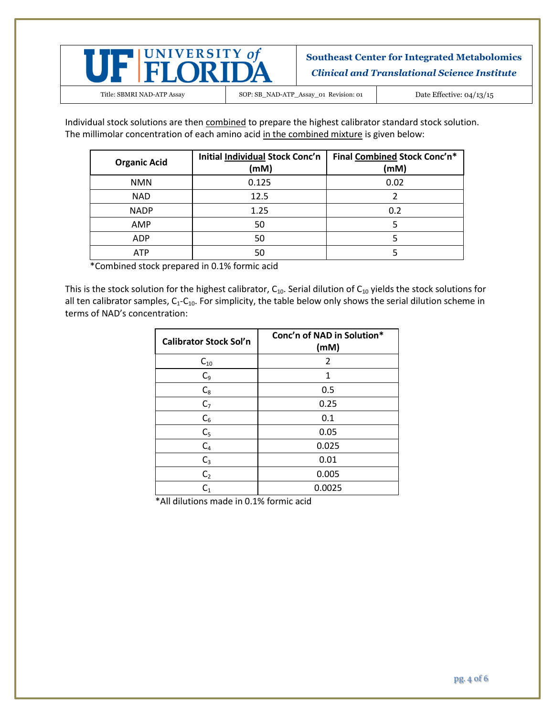

Individual stock solutions are then combined to prepare the highest calibrator standard stock solution. The millimolar concentration of each amino acid in the combined mixture is given below:

| <b>Organic Acid</b> | <b>Initial Individual Stock Conc'n</b><br>(mM) | Final Combined Stock Conc'n*<br>(mM) |
|---------------------|------------------------------------------------|--------------------------------------|
| <b>NMN</b>          | 0.125                                          | 0.02                                 |
| <b>NAD</b>          | 12.5                                           |                                      |
| <b>NADP</b>         | 1.25                                           | 0.2                                  |
| AMP                 | 50                                             |                                      |
| <b>ADP</b>          | 50                                             |                                      |
| <b>ATP</b>          | 50                                             |                                      |

\*Combined stock prepared in 0.1% formic acid

This is the stock solution for the highest calibrator,  $C_{10}$ . Serial dilution of  $C_{10}$  yields the stock solutions for all ten calibrator samples,  $C_1-C_{10}$ . For simplicity, the table below only shows the serial dilution scheme in terms of NAD's concentration:

| <b>Calibrator Stock Sol'n</b> | Conc'n of NAD in Solution*<br>(mM) |
|-------------------------------|------------------------------------|
| $C_{10}$                      | 2                                  |
| $C_9$                         | 1                                  |
| $C_8$                         | 0.5                                |
| C <sub>7</sub>                | 0.25                               |
| $C_6$                         | 0.1                                |
| $C_5$                         | 0.05                               |
| $C_4$                         | 0.025                              |
| $C_3$                         | 0.01                               |
| C <sub>2</sub>                | 0.005                              |
| $\mathsf{C}_1$                | 0.0025                             |

\*All dilutions made in 0.1% formic acid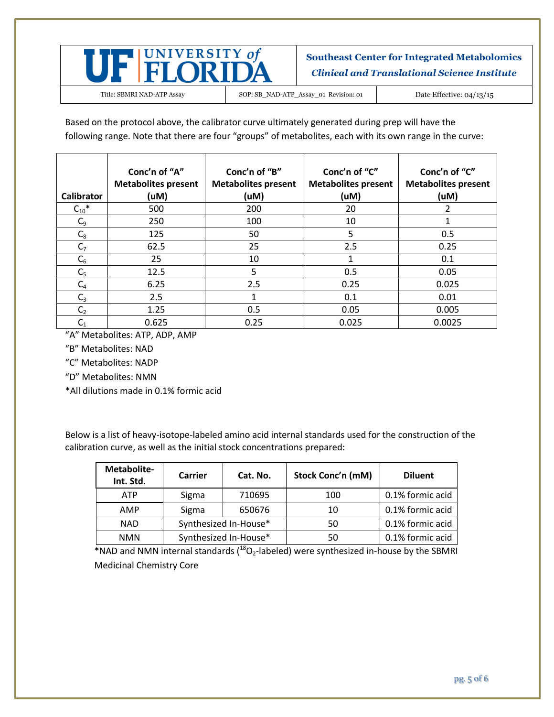

Based on the protocol above, the calibrator curve ultimately generated during prep will have the following range. Note that there are four "groups" of metabolites, each with its own range in the curve:

| Calibrator            | Conc'n of "A"<br><b>Metabolites present</b><br>(uM) | Conc'n of "B"<br><b>Metabolites present</b><br>(uM) | Conc'n of "C"<br><b>Metabolites present</b><br>(uM) | Conc'n of "C"<br><b>Metabolites present</b><br>(uM) |
|-----------------------|-----------------------------------------------------|-----------------------------------------------------|-----------------------------------------------------|-----------------------------------------------------|
| $C_{10}$ <sup>*</sup> | 500                                                 | 200                                                 | 20                                                  | 2                                                   |
| $C_9$                 | 250                                                 | 100                                                 | 10                                                  |                                                     |
| $C_8$                 | 125                                                 | 50                                                  | 5                                                   | 0.5                                                 |
| C <sub>7</sub>        | 62.5                                                | 25                                                  | 2.5                                                 | 0.25                                                |
| $C_6$                 | 25                                                  | 10                                                  |                                                     | 0.1                                                 |
| C <sub>5</sub>        | 12.5                                                | 5                                                   | 0.5                                                 | 0.05                                                |
| $C_4$                 | 6.25                                                | 2.5                                                 | 0.25                                                | 0.025                                               |
| $C_3$                 | 2.5                                                 |                                                     | 0.1                                                 | 0.01                                                |
| C <sub>2</sub>        | 1.25                                                | 0.5                                                 | 0.05                                                | 0.005                                               |
| $\mathsf{C}_1$        | 0.625                                               | 0.25                                                | 0.025                                               | 0.0025                                              |

"A" Metabolites: ATP, ADP, AMP

"B" Metabolites: NAD

"C" Metabolites: NADP

"D" Metabolites: NMN

\*All dilutions made in 0.1% formic acid

Below is a list of heavy-isotope-labeled amino acid internal standards used for the construction of the calibration curve, as well as the initial stock concentrations prepared:

| Metabolite-<br>Int. Std. | <b>Carrier</b>        | Cat. No. | Stock Conc'n (mM) | <b>Diluent</b>   |
|--------------------------|-----------------------|----------|-------------------|------------------|
| <b>ATP</b>               | Sigma                 | 710695   | 100               | 0.1% formic acid |
| AMP                      | Sigma                 | 650676   | 10                | 0.1% formic acid |
| <b>NAD</b>               | Synthesized In-House* |          | 50                | 0.1% formic acid |
| <b>NMN</b>               | Synthesized In-House* |          | 50                | 0.1% formic acid |

\*NAD and NMN internal standards  $(^{18}O_2$ -labeled) were synthesized in-house by the SBMRI Medicinal Chemistry Core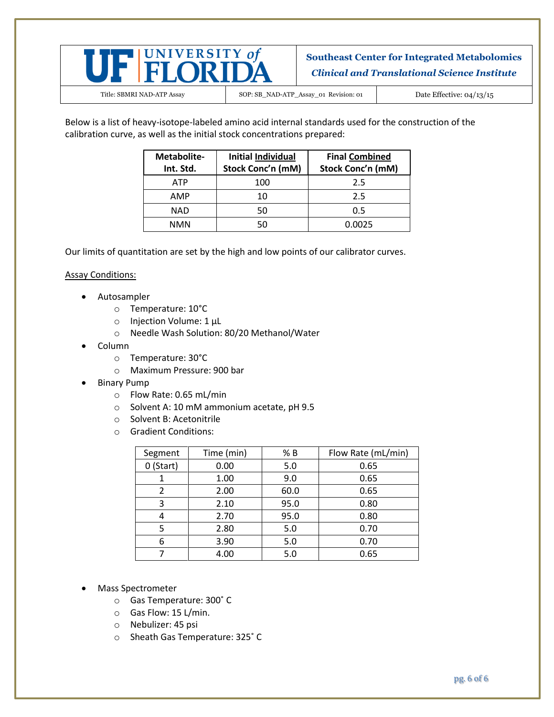

Title: SBMRI NAD-ATP Assay SOP: SB\_NAD-ATP\_Assay\_01 Revision: 01 Date Effective: 04/13/15

Below is a list of heavy-isotope-labeled amino acid internal standards used for the construction of the calibration curve, as well as the initial stock concentrations prepared:

| Metabolite-<br>Int. Std. | <b>Initial Individual</b><br>Stock Conc'n (mM) | <b>Final Combined</b><br>Stock Conc'n (mM) |
|--------------------------|------------------------------------------------|--------------------------------------------|
| <b>ATP</b>               | 100                                            | 2.5                                        |
| AMP                      | 10                                             | 2.5                                        |
| NAD                      |                                                | 0.5                                        |
| NMN                      |                                                | 0.0025                                     |

Our limits of quantitation are set by the high and low points of our calibrator curves.

### Assay Conditions:

- Autosampler
	- o Temperature: 10°C
	- o Injection Volume: 1 μL
	- o Needle Wash Solution: 80/20 Methanol/Water
- Column
	- o Temperature: 30°C
	- o Maximum Pressure: 900 bar
- Binary Pump
	- o Flow Rate: 0.65 mL/min
	- o Solvent A: 10 mM ammonium acetate, pH 9.5
	- o Solvent B: Acetonitrile
	- o Gradient Conditions:

| Segment     | Time (min) | % B  | Flow Rate (mL/min) |
|-------------|------------|------|--------------------|
| $0$ (Start) | 0.00       | 5.0  | 0.65               |
|             | 1.00       | 9.0  | 0.65               |
| 2           | 2.00       | 60.0 | 0.65               |
| 3           | 2.10       | 95.0 | 0.80               |
|             | 2.70       | 95.0 | 0.80               |
| 5           | 2.80       | 5.0  | 0.70               |
| 6           | 3.90       | 5.0  | 0.70               |
|             | 4.00       | 5.0  | 0.65               |

- Mass Spectrometer
	- o Gas Temperature: 300˚ C
	- o Gas Flow: 15 L/min.
	- o Nebulizer: 45 psi
	- o Sheath Gas Temperature: 325˚ C